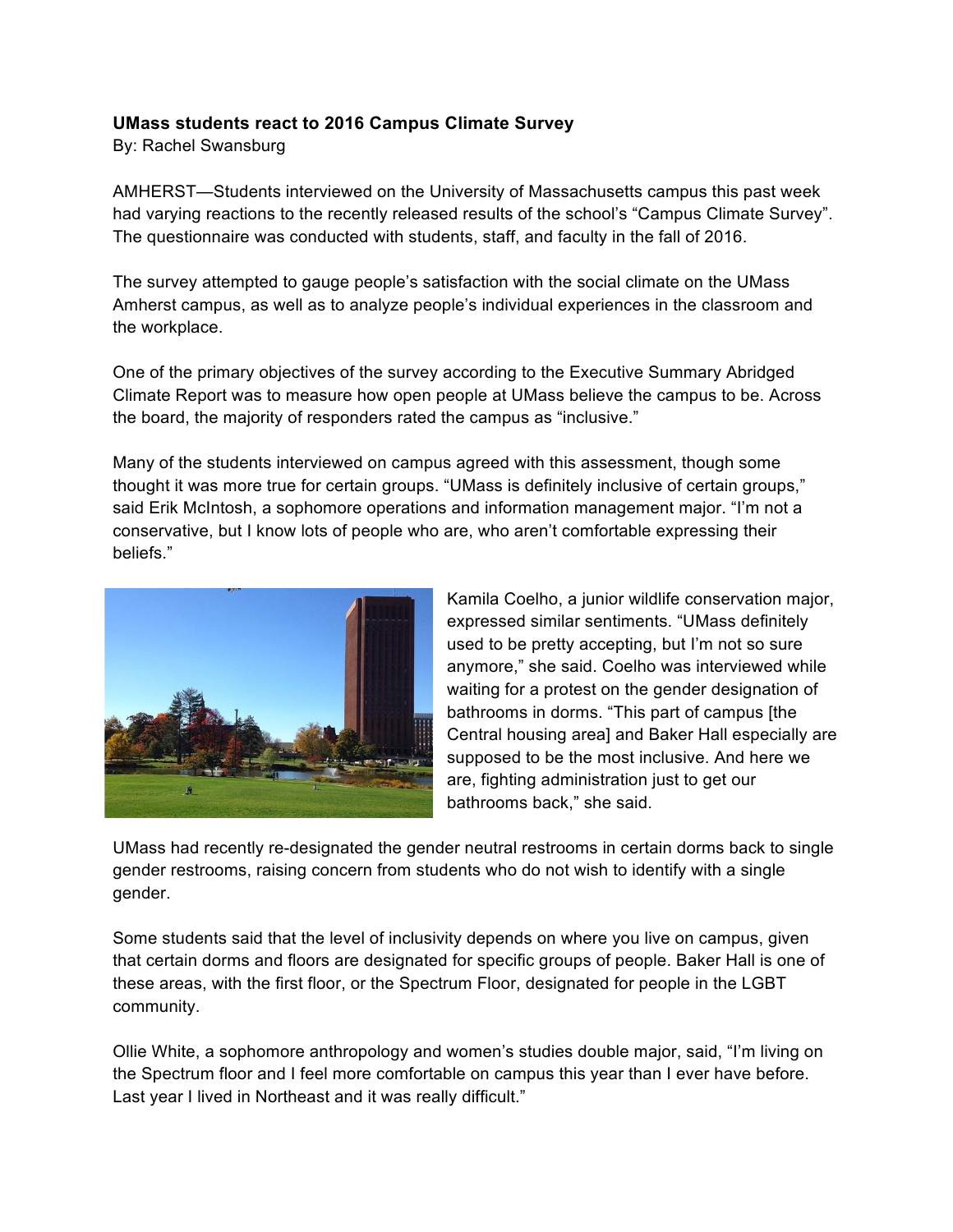## **UMass students react to 2016 Campus Climate Survey**

By: Rachel Swansburg

AMHERST—Students interviewed on the University of Massachusetts campus this past week had varying reactions to the recently released results of the school's "Campus Climate Survey". The questionnaire was conducted with students, staff, and faculty in the fall of 2016.

The survey attempted to gauge people's satisfaction with the social climate on the UMass Amherst campus, as well as to analyze people's individual experiences in the classroom and the workplace.

One of the primary objectives of the survey according to the Executive Summary Abridged Climate Report was to measure how open people at UMass believe the campus to be. Across the board, the majority of responders rated the campus as "inclusive."

Many of the students interviewed on campus agreed with this assessment, though some thought it was more true for certain groups. "UMass is definitely inclusive of certain groups," said Erik McIntosh, a sophomore operations and information management major. "I'm not a conservative, but I know lots of people who are, who aren't comfortable expressing their beliefs."



Kamila Coelho, a junior wildlife conservation major, expressed similar sentiments. "UMass definitely used to be pretty accepting, but I'm not so sure anymore," she said. Coelho was interviewed while waiting for a protest on the gender designation of bathrooms in dorms. "This part of campus [the Central housing area] and Baker Hall especially are supposed to be the most inclusive. And here we are, fighting administration just to get our bathrooms back," she said.

UMass had recently re-designated the gender neutral restrooms in certain dorms back to single gender restrooms, raising concern from students who do not wish to identify with a single gender.

Some students said that the level of inclusivity depends on where you live on campus, given that certain dorms and floors are designated for specific groups of people. Baker Hall is one of these areas, with the first floor, or the Spectrum Floor, designated for people in the LGBT community.

Ollie White, a sophomore anthropology and women's studies double major, said, "I'm living on the Spectrum floor and I feel more comfortable on campus this year than I ever have before. Last year I lived in Northeast and it was really difficult."